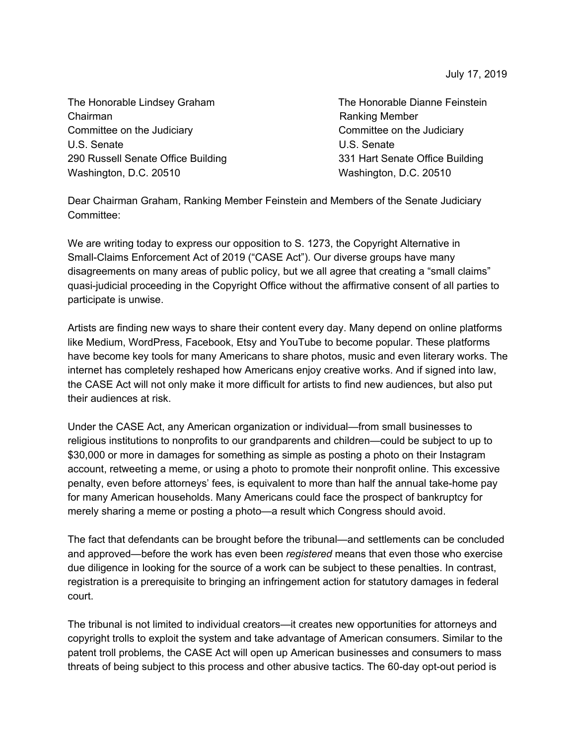July 17, 2019

The Honorable Lindsey Graham The Honorable Dianne Feinstein Chairman **Chairman** Ranking Member Committee on the Judiciary Committee on the Judiciary U.S. Senate U.S. Senate 290 Russell Senate Office Building 331 Hart Senate Office Building Washington, D.C. 20510 Washington, D.C. 20510

Dear Chairman Graham, Ranking Member Feinstein and Members of the Senate Judiciary Committee:

We are writing today to express our opposition to S. 1273, the Copyright Alternative in Small-Claims Enforcement Act of 2019 ("CASE Act"). Our diverse groups have many disagreements on many areas of public policy, but we all agree that creating a "small claims" quasi-judicial proceeding in the Copyright Office without the affirmative consent of all parties to participate is unwise.

Artists are finding new ways to share their content every day. Many depend on online platforms like Medium, WordPress, Facebook, Etsy and YouTube to become popular. These platforms have become key tools for many Americans to share photos, music and even literary works. The internet has completely reshaped how Americans enjoy creative works. And if signed into law, the CASE Act will not only make it more difficult for artists to find new audiences, but also put their audiences at risk.

Under the CASE Act, any American organization or individual—from small businesses to religious institutions to nonprofits to our grandparents and children—could be subject to up to \$30,000 or more in damages for something as simple as posting a photo on their Instagram account, retweeting a meme, or using a photo to promote their nonprofit online. This excessive penalty, even before attorneys' fees, is equivalent to more than half the annual take-home pay for many American households. Many Americans could face the prospect of bankruptcy for merely sharing a meme or posting a photo—a result which Congress should avoid.

The fact that defendants can be brought before the tribunal—and settlements can be concluded and approved—before the work has even been *registered* means that even those who exercise due diligence in looking for the source of a work can be subject to these penalties. In contrast, registration is a prerequisite to bringing an infringement action for statutory damages in federal court.

The tribunal is not limited to individual creators—it creates new opportunities for attorneys and copyright trolls to exploit the system and take advantage of American consumers. Similar to the patent troll problems, the CASE Act will open up American businesses and consumers to mass threats of being subject to this process and other abusive tactics. The 60-day opt-out period is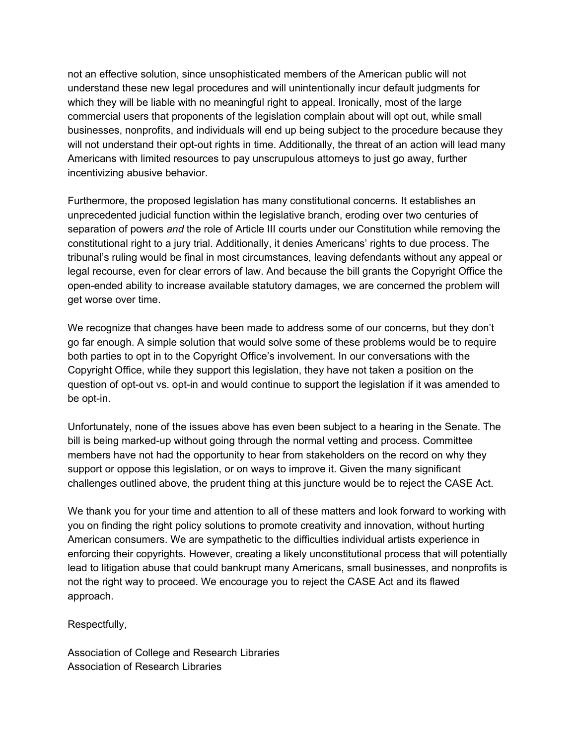not an effective solution, since unsophisticated members of the American public will not understand these new legal procedures and will unintentionally incur default judgments for which they will be liable with no meaningful right to appeal. Ironically, most of the large commercial users that proponents of the legislation complain about will opt out, while small businesses, nonprofits, and individuals will end up being subject to the procedure because they will not understand their opt-out rights in time. Additionally, the threat of an action will lead many Americans with limited resources to pay unscrupulous attorneys to just go away, further incentivizing abusive behavior.

Furthermore, the proposed legislation has many constitutional concerns. It establishes an unprecedented judicial function within the legislative branch, eroding over two centuries of separation of powers *and* the role of Article III courts under our Constitution while removing the constitutional right to a jury trial. Additionally, it denies Americans' rights to due process. The tribunal's ruling would be final in most circumstances, leaving defendants without any appeal or legal recourse, even for clear errors of law. And because the bill grants the Copyright Office the open-ended ability to increase available statutory damages, we are concerned the problem will get worse over time.

We recognize that changes have been made to address some of our concerns, but they don't go far enough. A simple solution that would solve some of these problems would be to require both parties to opt in to the Copyright Office's involvement. In our conversations with the Copyright Office, while they support this legislation, they have not taken a position on the question of opt-out vs. opt-in and would continue to support the legislation if it was amended to be opt-in.

Unfortunately, none of the issues above has even been subject to a hearing in the Senate. The bill is being marked-up without going through the normal vetting and process. Committee members have not had the opportunity to hear from stakeholders on the record on why they support or oppose this legislation, or on ways to improve it. Given the many significant challenges outlined above, the prudent thing at this juncture would be to reject the CASE Act.

We thank you for your time and attention to all of these matters and look forward to working with you on finding the right policy solutions to promote creativity and innovation, without hurting American consumers. We are sympathetic to the difficulties individual artists experience in enforcing their copyrights. However, creating a likely unconstitutional process that will potentially lead to litigation abuse that could bankrupt many Americans, small businesses, and nonprofits is not the right way to proceed. We encourage you to reject the CASE Act and its flawed approach.

Respectfully,

Association of College and Research Libraries Association of Research Libraries